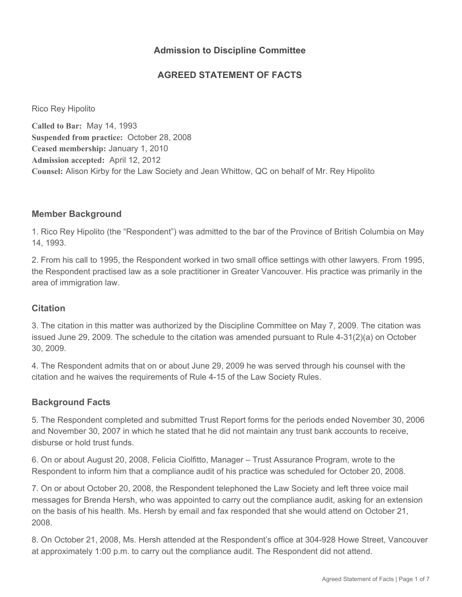## **Admission to Discipline Committee**

## **AGREED STATEMENT OF FACTS**

Rico Rey Hipolito

**Called to Bar:** May 14, 1993 **Suspended from practice:** October 28, 2008 **Ceased membership:** January 1, 2010 **Admission accepted:** April 12, 2012 **Counsel:** Alison Kirby for the Law Society and Jean Whittow, QC on behalf of Mr. Rey Hipolito

### **Member Background**

1. Rico Rey Hipolito (the "Respondent") was admitted to the bar of the Province of British Columbia on May 14, 1993.

2. From his call to 1995, the Respondent worked in two small office settings with other lawyers. From 1995, the Respondent practised law as a sole practitioner in Greater Vancouver. His practice was primarily in the area of immigration law.

#### **Citation**

3. The citation in this matter was authorized by the Discipline Committee on May 7, 2009. The citation was issued June 29, 2009. The schedule to the citation was amended pursuant to Rule 4-31(2)(a) on October 30, 2009.

4. The Respondent admits that on or about June 29, 2009 he was served through his counsel with the citation and he waives the requirements of Rule 4-15 of the Law Society Rules.

### **Background Facts**

5. The Respondent completed and submitted Trust Report forms for the periods ended November 30, 2006 and November 30, 2007 in which he stated that he did not maintain any trust bank accounts to receive, disburse or hold trust funds.

6. On or about August 20, 2008, Felicia Ciolfitto, Manager – Trust Assurance Program, wrote to the Respondent to inform him that a compliance audit of his practice was scheduled for October 20, 2008.

7. On or about October 20, 2008, the Respondent telephoned the Law Society and left three voice mail messages for Brenda Hersh, who was appointed to carry out the compliance audit, asking for an extension on the basis of his health. Ms. Hersh by email and fax responded that she would attend on October 21, 2008.

8. On October 21, 2008, Ms. Hersh attended at the Respondent's office at 304-928 Howe Street, Vancouver at approximately 1:00 p.m. to carry out the compliance audit. The Respondent did not attend.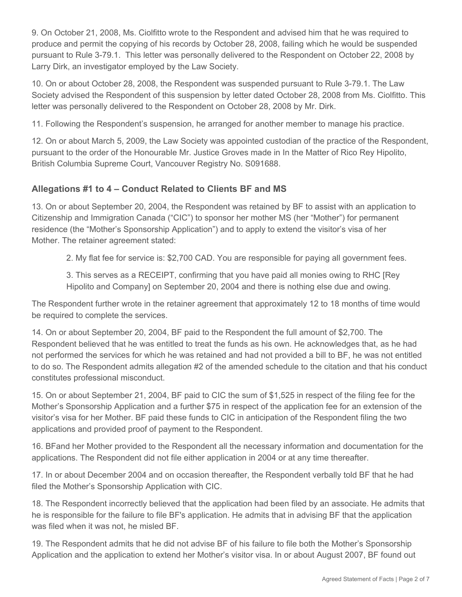9. On October 21, 2008, Ms. Ciolfitto wrote to the Respondent and advised him that he was required to produce and permit the copying of his records by October 28, 2008, failing which he would be suspended pursuant to Rule 3-79.1. This letter was personally delivered to the Respondent on October 22, 2008 by Larry Dirk, an investigator employed by the Law Society.

10. On or about October 28, 2008, the Respondent was suspended pursuant to Rule 3-79.1. The Law Society advised the Respondent of this suspension by letter dated October 28, 2008 from Ms. Ciolfitto. This letter was personally delivered to the Respondent on October 28, 2008 by Mr. Dirk.

11. Following the Respondent's suspension, he arranged for another member to manage his practice.

12. On or about March 5, 2009, the Law Society was appointed custodian of the practice of the Respondent, pursuant to the order of the Honourable Mr. Justice Groves made in In the Matter of Rico Rey Hipolito, British Columbia Supreme Court, Vancouver Registry No. S091688.

## **Allegations #1 to 4 – Conduct Related to Clients BF and MS**

13. On or about September 20, 2004, the Respondent was retained by BF to assist with an application to Citizenship and Immigration Canada ("CIC") to sponsor her mother MS (her "Mother") for permanent residence (the "Mother's Sponsorship Application") and to apply to extend the visitor's visa of her Mother. The retainer agreement stated:

2. My flat fee for service is: \$2,700 CAD. You are responsible for paying all government fees.

3. This serves as a RECEIPT, confirming that you have paid all monies owing to RHC [Rey Hipolito and Company] on September 20, 2004 and there is nothing else due and owing.

The Respondent further wrote in the retainer agreement that approximately 12 to 18 months of time would be required to complete the services.

14. On or about September 20, 2004, BF paid to the Respondent the full amount of \$2,700. The Respondent believed that he was entitled to treat the funds as his own. He acknowledges that, as he had not performed the services for which he was retained and had not provided a bill to BF, he was not entitled to do so. The Respondent admits allegation #2 of the amended schedule to the citation and that his conduct constitutes professional misconduct.

15. On or about September 21, 2004, BF paid to CIC the sum of \$1,525 in respect of the filing fee for the Mother's Sponsorship Application and a further \$75 in respect of the application fee for an extension of the visitor's visa for her Mother. BF paid these funds to CIC in anticipation of the Respondent filing the two applications and provided proof of payment to the Respondent.

16. BFand her Mother provided to the Respondent all the necessary information and documentation for the applications. The Respondent did not file either application in 2004 or at any time thereafter.

17. In or about December 2004 and on occasion thereafter, the Respondent verbally told BF that he had filed the Mother's Sponsorship Application with CIC.

18. The Respondent incorrectly believed that the application had been filed by an associate. He admits that he is responsible for the failure to file BF's application. He admits that in advising BF that the application was filed when it was not, he misled BF.

19. The Respondent admits that he did not advise BF of his failure to file both the Mother's Sponsorship Application and the application to extend her Mother's visitor visa. In or about August 2007, BF found out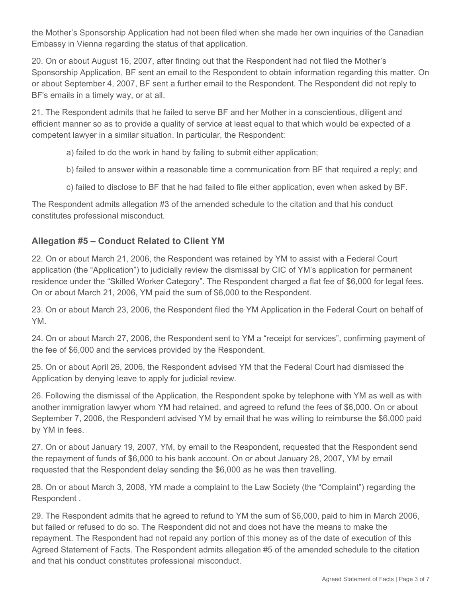the Mother's Sponsorship Application had not been filed when she made her own inquiries of the Canadian Embassy in Vienna regarding the status of that application.

20. On or about August 16, 2007, after finding out that the Respondent had not filed the Mother's Sponsorship Application, BF sent an email to the Respondent to obtain information regarding this matter. On or about September 4, 2007, BF sent a further email to the Respondent. The Respondent did not reply to BF's emails in a timely way, or at all.

21. The Respondent admits that he failed to serve BF and her Mother in a conscientious, diligent and efficient manner so as to provide a quality of service at least equal to that which would be expected of a competent lawyer in a similar situation. In particular, the Respondent:

- a) failed to do the work in hand by failing to submit either application;
- b) failed to answer within a reasonable time a communication from BF that required a reply; and
- c) failed to disclose to BF that he had failed to file either application, even when asked by BF.

The Respondent admits allegation #3 of the amended schedule to the citation and that his conduct constitutes professional misconduct.

## **Allegation #5 – Conduct Related to Client YM**

22. On or about March 21, 2006, the Respondent was retained by YM to assist with a Federal Court application (the "Application") to judicially review the dismissal by CIC of YM's application for permanent residence under the "Skilled Worker Category". The Respondent charged a flat fee of \$6,000 for legal fees. On or about March 21, 2006, YM paid the sum of \$6,000 to the Respondent.

23. On or about March 23, 2006, the Respondent filed the YM Application in the Federal Court on behalf of YM.

24. On or about March 27, 2006, the Respondent sent to YM a "receipt for services", confirming payment of the fee of \$6,000 and the services provided by the Respondent.

25. On or about April 26, 2006, the Respondent advised YM that the Federal Court had dismissed the Application by denying leave to apply for judicial review.

26. Following the dismissal of the Application, the Respondent spoke by telephone with YM as well as with another immigration lawyer whom YM had retained, and agreed to refund the fees of \$6,000. On or about September 7, 2006, the Respondent advised YM by email that he was willing to reimburse the \$6,000 paid by YM in fees.

27. On or about January 19, 2007, YM, by email to the Respondent, requested that the Respondent send the repayment of funds of \$6,000 to his bank account. On or about January 28, 2007, YM by email requested that the Respondent delay sending the \$6,000 as he was then travelling.

28. On or about March 3, 2008, YM made a complaint to the Law Society (the "Complaint") regarding the Respondent .

29. The Respondent admits that he agreed to refund to YM the sum of \$6,000, paid to him in March 2006, but failed or refused to do so. The Respondent did not and does not have the means to make the repayment. The Respondent had not repaid any portion of this money as of the date of execution of this Agreed Statement of Facts. The Respondent admits allegation #5 of the amended schedule to the citation and that his conduct constitutes professional misconduct.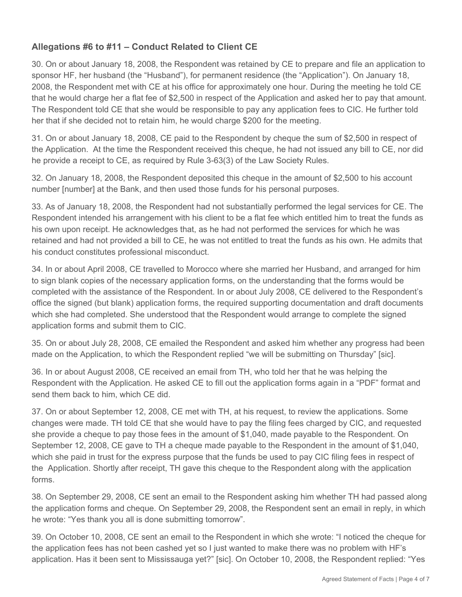# **Allegations #6 to #11 – Conduct Related to Client CE**

30. On or about January 18, 2008, the Respondent was retained by CE to prepare and file an application to sponsor HF, her husband (the "Husband"), for permanent residence (the "Application"). On January 18, 2008, the Respondent met with CE at his office for approximately one hour. During the meeting he told CE that he would charge her a flat fee of \$2,500 in respect of the Application and asked her to pay that amount. The Respondent told CE that she would be responsible to pay any application fees to CIC. He further told her that if she decided not to retain him, he would charge \$200 for the meeting.

31. On or about January 18, 2008, CE paid to the Respondent by cheque the sum of \$2,500 in respect of the Application. At the time the Respondent received this cheque, he had not issued any bill to CE, nor did he provide a receipt to CE, as required by Rule 3-63(3) of the Law Society Rules.

32. On January 18, 2008, the Respondent deposited this cheque in the amount of \$2,500 to his account number [number] at the Bank, and then used those funds for his personal purposes.

33. As of January 18, 2008, the Respondent had not substantially performed the legal services for CE. The Respondent intended his arrangement with his client to be a flat fee which entitled him to treat the funds as his own upon receipt. He acknowledges that, as he had not performed the services for which he was retained and had not provided a bill to CE, he was not entitled to treat the funds as his own. He admits that his conduct constitutes professional misconduct.

34. In or about April 2008, CE travelled to Morocco where she married her Husband, and arranged for him to sign blank copies of the necessary application forms, on the understanding that the forms would be completed with the assistance of the Respondent. In or about July 2008, CE delivered to the Respondent's office the signed (but blank) application forms, the required supporting documentation and draft documents which she had completed. She understood that the Respondent would arrange to complete the signed application forms and submit them to CIC.

35. On or about July 28, 2008, CE emailed the Respondent and asked him whether any progress had been made on the Application, to which the Respondent replied "we will be submitting on Thursday" [sic].

36. In or about August 2008, CE received an email from TH, who told her that he was helping the Respondent with the Application. He asked CE to fill out the application forms again in a "PDF" format and send them back to him, which CE did.

37. On or about September 12, 2008, CE met with TH, at his request, to review the applications. Some changes were made. TH told CE that she would have to pay the filing fees charged by CIC, and requested she provide a cheque to pay those fees in the amount of \$1,040, made payable to the Respondent. On September 12, 2008, CE gave to TH a cheque made payable to the Respondent in the amount of \$1,040, which she paid in trust for the express purpose that the funds be used to pay CIC filing fees in respect of the Application. Shortly after receipt, TH gave this cheque to the Respondent along with the application forms.

38. On September 29, 2008, CE sent an email to the Respondent asking him whether TH had passed along the application forms and cheque. On September 29, 2008, the Respondent sent an email in reply, in which he wrote: "Yes thank you all is done submitting tomorrow".

39. On October 10, 2008, CE sent an email to the Respondent in which she wrote: "I noticed the cheque for the application fees has not been cashed yet so I just wanted to make there was no problem with HF's application. Has it been sent to Mississauga yet?" [sic]. On October 10, 2008, the Respondent replied: "Yes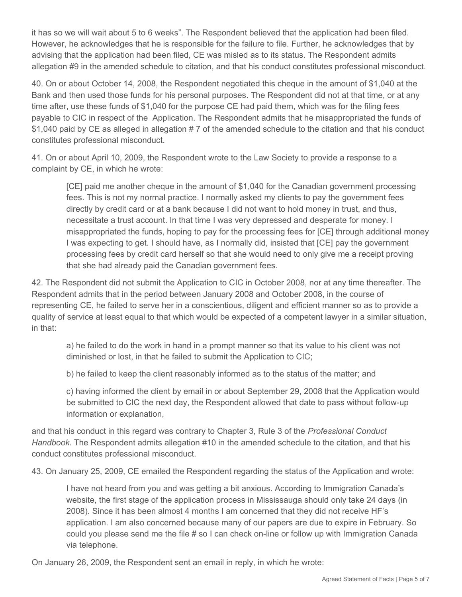it has so we will wait about 5 to 6 weeks". The Respondent believed that the application had been filed. However, he acknowledges that he is responsible for the failure to file. Further, he acknowledges that by advising that the application had been filed, CE was misled as to its status. The Respondent admits allegation #9 in the amended schedule to citation, and that his conduct constitutes professional misconduct.

40. On or about October 14, 2008, the Respondent negotiated this cheque in the amount of \$1,040 at the Bank and then used those funds for his personal purposes. The Respondent did not at that time, or at any time after, use these funds of \$1,040 for the purpose CE had paid them, which was for the filing fees payable to CIC in respect of the Application. The Respondent admits that he misappropriated the funds of \$1,040 paid by CE as alleged in allegation # 7 of the amended schedule to the citation and that his conduct constitutes professional misconduct.

41. On or about April 10, 2009, the Respondent wrote to the Law Society to provide a response to a complaint by CE, in which he wrote:

[CE] paid me another cheque in the amount of \$1,040 for the Canadian government processing fees. This is not my normal practice. I normally asked my clients to pay the government fees directly by credit card or at a bank because I did not want to hold money in trust, and thus, necessitate a trust account. In that time I was very depressed and desperate for money. I misappropriated the funds, hoping to pay for the processing fees for [CE] through additional money I was expecting to get. I should have, as I normally did, insisted that [CE] pay the government processing fees by credit card herself so that she would need to only give me a receipt proving that she had already paid the Canadian government fees.

42. The Respondent did not submit the Application to CIC in October 2008, nor at any time thereafter. The Respondent admits that in the period between January 2008 and October 2008, in the course of representing CE, he failed to serve her in a conscientious, diligent and efficient manner so as to provide a quality of service at least equal to that which would be expected of a competent lawyer in a similar situation, in that:

a) he failed to do the work in hand in a prompt manner so that its value to his client was not diminished or lost, in that he failed to submit the Application to CIC;

b) he failed to keep the client reasonably informed as to the status of the matter; and

c) having informed the client by email in or about September 29, 2008 that the Application would be submitted to CIC the next day, the Respondent allowed that date to pass without follow-up information or explanation,

and that his conduct in this regard was contrary to Chapter 3, Rule 3 of the *Professional Conduct Handbook*. The Respondent admits allegation #10 in the amended schedule to the citation, and that his conduct constitutes professional misconduct.

43. On January 25, 2009, CE emailed the Respondent regarding the status of the Application and wrote:

I have not heard from you and was getting a bit anxious. According to Immigration Canada's website, the first stage of the application process in Mississauga should only take 24 days (in 2008). Since it has been almost 4 months I am concerned that they did not receive HF's application. I am also concerned because many of our papers are due to expire in February. So could you please send me the file # so I can check on-line or follow up with Immigration Canada via telephone.

On January 26, 2009, the Respondent sent an email in reply, in which he wrote: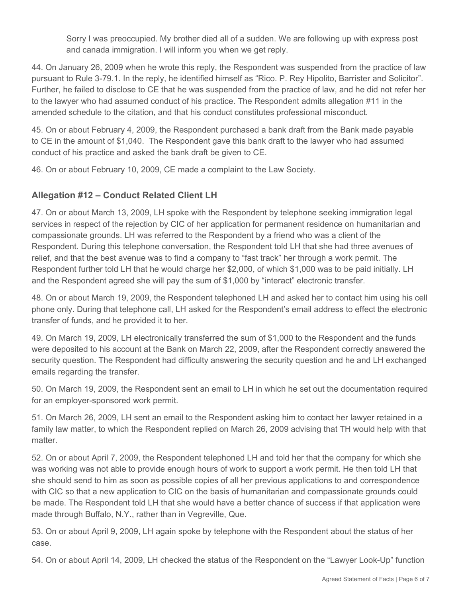Sorry I was preoccupied. My brother died all of a sudden. We are following up with express post and canada immigration. I will inform you when we get reply.

44. On January 26, 2009 when he wrote this reply, the Respondent was suspended from the practice of law pursuant to Rule 3-79.1. In the reply, he identified himself as "Rico. P. Rey Hipolito, Barrister and Solicitor". Further, he failed to disclose to CE that he was suspended from the practice of law, and he did not refer her to the lawyer who had assumed conduct of his practice. The Respondent admits allegation #11 in the amended schedule to the citation, and that his conduct constitutes professional misconduct.

45. On or about February 4, 2009, the Respondent purchased a bank draft from the Bank made payable to CE in the amount of \$1,040. The Respondent gave this bank draft to the lawyer who had assumed conduct of his practice and asked the bank draft be given to CE.

46. On or about February 10, 2009, CE made a complaint to the Law Society.

# **Allegation #12 – Conduct Related Client LH**

47. On or about March 13, 2009, LH spoke with the Respondent by telephone seeking immigration legal services in respect of the rejection by CIC of her application for permanent residence on humanitarian and compassionate grounds. LH was referred to the Respondent by a friend who was a client of the Respondent. During this telephone conversation, the Respondent told LH that she had three avenues of relief, and that the best avenue was to find a company to "fast track" her through a work permit. The Respondent further told LH that he would charge her \$2,000, of which \$1,000 was to be paid initially. LH and the Respondent agreed she will pay the sum of \$1,000 by "interact" electronic transfer.

48. On or about March 19, 2009, the Respondent telephoned LH and asked her to contact him using his cell phone only. During that telephone call, LH asked for the Respondent's email address to effect the electronic transfer of funds, and he provided it to her.

49. On March 19, 2009, LH electronically transferred the sum of \$1,000 to the Respondent and the funds were deposited to his account at the Bank on March 22, 2009, after the Respondent correctly answered the security question. The Respondent had difficulty answering the security question and he and LH exchanged emails regarding the transfer.

50. On March 19, 2009, the Respondent sent an email to LH in which he set out the documentation required for an employer-sponsored work permit.

51. On March 26, 2009, LH sent an email to the Respondent asking him to contact her lawyer retained in a family law matter, to which the Respondent replied on March 26, 2009 advising that TH would help with that matter.

52. On or about April 7, 2009, the Respondent telephoned LH and told her that the company for which she was working was not able to provide enough hours of work to support a work permit. He then told LH that she should send to him as soon as possible copies of all her previous applications to and correspondence with CIC so that a new application to CIC on the basis of humanitarian and compassionate grounds could be made. The Respondent told LH that she would have a better chance of success if that application were made through Buffalo, N.Y., rather than in Vegreville, Que.

53. On or about April 9, 2009, LH again spoke by telephone with the Respondent about the status of her case.

54. On or about April 14, 2009, LH checked the status of the Respondent on the "Lawyer Look-Up" function